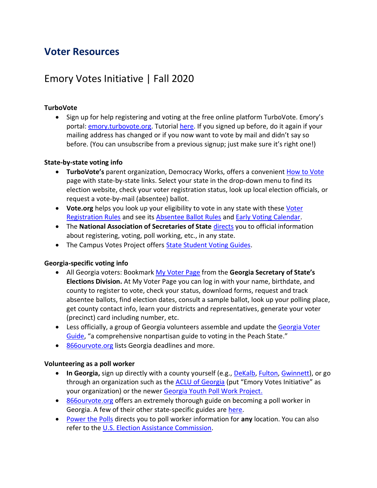## **Voter Resources**

# Emory Votes Initiative | Fall 2020

## **TurboVote**

• Sign up for help registering and voting at the free online platform TurboVote. Emory's portal: [emory.turbovote.org.](https://emory.turbovote.org/) Tutorial [here.](http://campuslife.emory.edu/about/initiatives/evi.html#turbo) If you signed up before, do it again if your mailing address has changed or if you now want to vote by mail and didn't say so before. (You can unsubscribe from a previous signup; just make sure it's right one!)

## **State-by-state voting info**

- **TurboVote's** parent organization, Democracy Works, offers a convenient [How to Vote](https://howto.vote/) page with state-by-state links. Select your state in the drop-down menu to find its election website, check your voter registration status, look up local election officials, or request a vote-by-mail (absentee) ballot.
- **Vote.org** helps you look up your eligibility to vote in any state with these [Voter](https://www.vote.org/voter-registration-rules/)  [Registration Rules](https://www.vote.org/voter-registration-rules/) and see its [Absentee Ballot Rules](https://www.vote.org/absentee-voting-rules/) and [Early Voting Calendar.](https://www.vote.org/early-voting-calendar/)
- The **National Association of Secretaries of State** [directs](https://www.nass.org/can-I-vote) you to official information about registering, voting, poll working, etc., in any state.
- The Campus Votes Project offer[s State Student Voting Guides.](https://www.campusvoteproject.org/state-student-voting-guides)

## **Georgia-specific voting info**

- All Georgia voters: Bookmark [My Voter Page](https://www.mvp.sos.ga.gov/MVP/mvp.do) from the **Georgia Secretary of State's Elections Division.** At My Voter Page you can log in with your name, birthdate, and county to register to vote, check your status, download forms, request and track absentee ballots, find election dates, consult a sample ballot, look up your polling place, get county contact info, learn your districts and representatives, generate your voter (precinct) card including number, etc.
- Less officially, a group of Georgia volunteers assemble and update the Georgia Voter [Guide](https://www.georgiavoter.guide/), "a comprehensive nonpartisan guide to voting in the Peach State."
- [866ourvote.org](https://866ourvote.org/state-information/georgia/) lists Georgia deadlines and more.

#### **Volunteering as a poll worker**

- **In Georgia,** sign up directly with a county yourself (e.g., [DeKalb,](https://www.dekalbcountyga.gov/voter-registration-elections/poll-employment) [Fulton,](https://www.fultoncountyga.gov/get-involved/citizen-engagement/become-a-poll-worker) [Gwinnett\)](https://www.gwinnettcounty.com/web/gwinnett/departments/elections/pollofficialapplication), or go through an organization such as the **ACLU of Georgia** (put "Emory Votes Initiative" as your organization) or the newer [Georgia Youth Poll Work Project.](https://forms.gle/zz6NwRsdRGBwFsYS9)
- [866ourvote.org](https://866ourvote.org/wp-content/uploads/2019/10/Georgia-poll-worker-guide-Final-2020.07.13.pdf) offers an extremely thorough guide on becoming a poll worker in Georgia. A few of their other state-specific guides are [here.](https://866ourvote.org/how-to-become-a-poll-worker-or-election-official/)
- [Power the Polls](https://www.powerthepolls.org/) directs you to poll worker information for **any** location. You can also refer to th[e U.S. Election Assistance Commission.](https://www.eac.gov/voters/become-poll-worker)